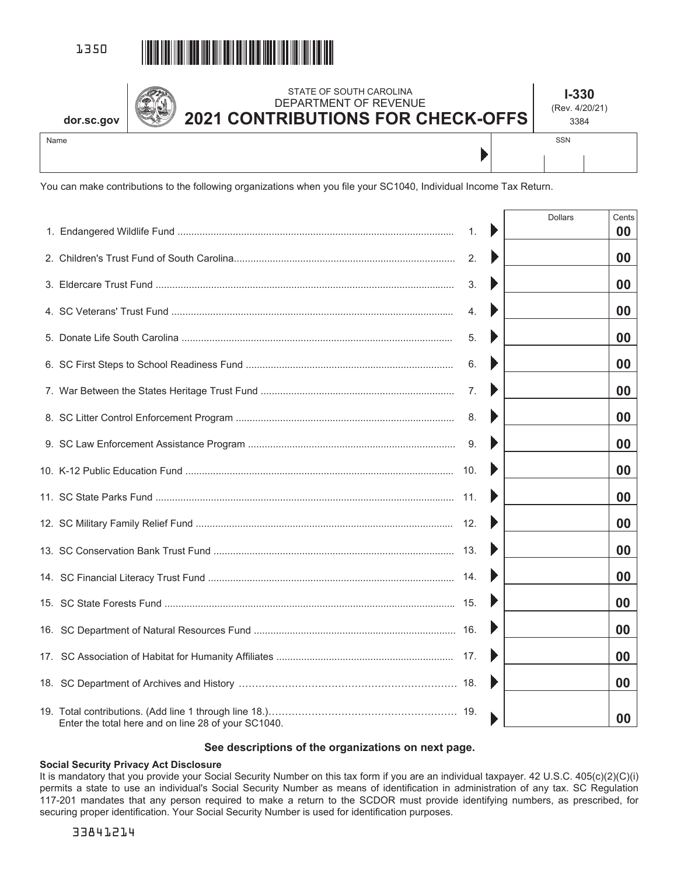

**dor.sc.gov**

## STATE OF SOUTH CAROLINA DEPARTMENT OF REVENUE **2021 CONTRIBUTIONS FOR CHECK-OFFS**

**I-330**  (Rev. 4/20/21)

Name

3384 SSN

Þ

You can make contributions to the following organizations when you file your SC1040, Individual Income Tax Return.

|                                                     |    | <b>Dollars</b> | Cents |
|-----------------------------------------------------|----|----------------|-------|
|                                                     | 1. |                | 00    |
|                                                     | 2. |                | 00    |
|                                                     | 3. |                | 00    |
|                                                     | 4. |                | 00    |
|                                                     | 5. |                | 00    |
|                                                     | 6. |                | 00    |
|                                                     | 7. |                | 00    |
|                                                     | 8. |                | 00    |
|                                                     | 9. |                | 00    |
|                                                     |    |                | 00    |
|                                                     |    |                | 00    |
|                                                     |    |                | 00    |
|                                                     |    |                | 00    |
|                                                     |    |                | 00    |
|                                                     |    |                | 00    |
|                                                     |    |                | 00    |
|                                                     |    |                | 00    |
|                                                     |    |                | 00    |
| Enter the total here and on line 28 of your SC1040. |    |                | 00    |

## **See descriptions of the organizations on next page.**

## **Social Security Privacy Act Disclosure**

It is mandatory that you provide your Social Security Number on this tax form if you are an individual taxpayer. 42 U.S.C. 405(c)(2)(C)(i) permits a state to use an individual's Social Security Number as means of identification in administration of any tax. SC Regulation 117-201 mandates that any person required to make a return to the SCDOR must provide identifying numbers, as prescribed, for securing proper identification. Your Social Security Number is used for identification purposes.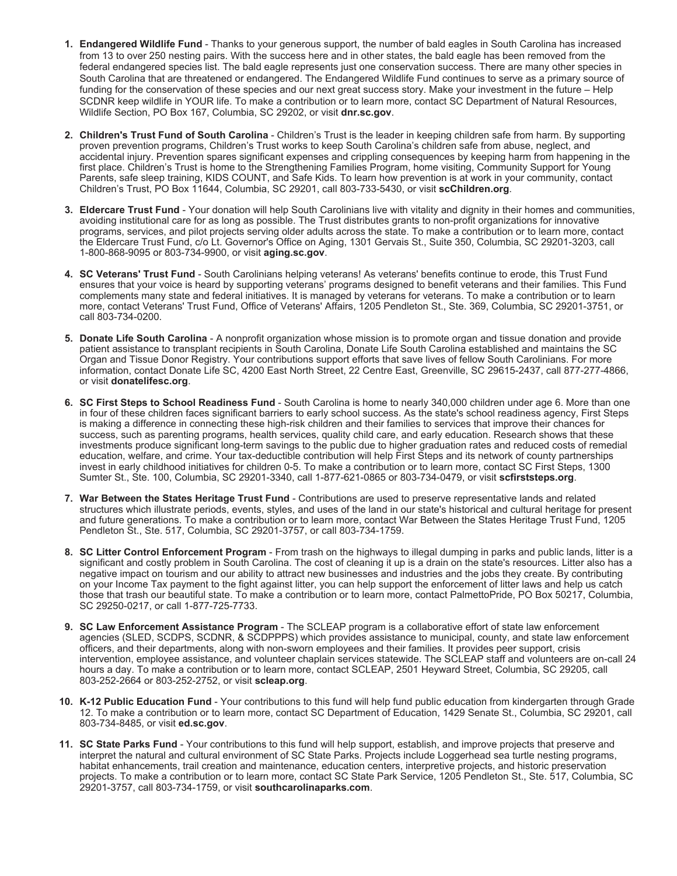- **1. Endangered Wildlife Fund** Thanks to your generous support, the number of bald eagles in South Carolina has increased from 13 to over 250 nesting pairs. With the success here and in other states, the bald eagle has been removed from the federal endangered species list. The bald eagle represents just one conservation success. There are many other species in South Carolina that are threatened or endangered. The Endangered Wildlife Fund continues to serve as a primary source of funding for the conservation of these species and our next great success story. Make your investment in the future – Help SCDNR keep wildlife in YOUR life. To make a contribution or to learn more, contact SC Department of Natural Resources, Wildlife Section, PO Box 167, Columbia, SC 29202, or visit **dnr.sc.gov**.
- **2. Children's Trust Fund of South Carolina**  Children's Trust is the leader in keeping children safe from harm. By supporting proven prevention programs, Children's Trust works to keep South Carolina's children safe from abuse, neglect, and accidental injury. Prevention spares significant expenses and crippling consequences by keeping harm from happening in the first place. Children's Trust is home to the Strengthening Families Program, home visiting, Community Support for Young Parents, safe sleep training, KIDS COUNT, and Safe Kids. To learn how prevention is at work in your community, contact Children's Trust, PO Box 11644, Columbia, SC 29201, call 803-733-5430, or visit **scChildren.org**.
- **3. Eldercare Trust Fund** Your donation will help South Carolinians live with vitality and dignity in their homes and communities, avoiding institutional care for as long as possible. The Trust distributes grants to non-profit organizations for innovative programs, services, and pilot projects serving older adults across the state. To make a contribution or to learn more, contact the Eldercare Trust Fund, c/o Lt. Governor's Office on Aging, 1301 Gervais St., Suite 350, Columbia, SC 29201-3203, call 1-800-868-9095 or 803-734-9900, or visit **aging.sc.gov**.
- **4. SC Veterans' Trust Fund**  South Carolinians helping veterans! As veterans' benefits continue to erode, this Trust Fund ensures that your voice is heard by supporting veterans' programs designed to benefit veterans and their families. This Fund complements many state and federal initiatives. It is managed by veterans for veterans. To make a contribution or to learn more, contact Veterans' Trust Fund, Office of Veterans' Affairs, 1205 Pendleton St., Ste. 369, Columbia, SC 29201-3751, or call 803-734-0200.
- **5. Donate Life South Carolina** A nonprofit organization whose mission is to promote organ and tissue donation and provide patient assistance to transplant recipients in South Carolina, Donate Life South Carolina established and maintains the SC Organ and Tissue Donor Registry. Your contributions support efforts that save lives of fellow South Carolinians. For more information, contact Donate Life SC, 4200 East North Street, 22 Centre East, Greenville, SC 29615-2437, call 877-277-4866, or visit **donatelifesc.org**.
- **6. SC First Steps to School Readiness Fund** South Carolina is home to nearly 340,000 children under age 6. More than one in four of these children faces significant barriers to early school success. As the state's school readiness agency, First Steps is making a difference in connecting these high-risk children and their families to services that improve their chances for success, such as parenting programs, health services, quality child care, and early education. Research shows that these investments produce significant long-term savings to the public due to higher graduation rates and reduced costs of remedial education, welfare, and crime. Your tax-deductible contribution will help First Steps and its network of county partnerships invest in early childhood initiatives for children 0-5. To make a contribution or to learn more, contact SC First Steps, 1300 Sumter St., Ste. 100, Columbia, SC 29201-3340, call 1-877-621-0865 or 803-734-0479, or visit **scfirststeps.org**.
- **7. War Between the States Heritage Trust Fund**  Contributions are used to preserve representative lands and related structures which illustrate periods, events, styles, and uses of the land in our state's historical and cultural heritage for present and future generations. To make a contribution or to learn more, contact War Between the States Heritage Trust Fund, 1205 Pendleton St., Ste. 517, Columbia, SC 29201-3757, or call 803-734-1759.
- **8. SC Litter Control Enforcement Program** From trash on the highways to illegal dumping in parks and public lands, litter is a significant and costly problem in South Carolina. The cost of cleaning it up is a drain on the state's resources. Litter also has a negative impact on tourism and our ability to attract new businesses and industries and the jobs they create. By contributing on your Income Tax payment to the fight against litter, you can help support the enforcement of litter laws and help us catch those that trash our beautiful state. To make a contribution or to learn more, contact PalmettoPride, PO Box 50217, Columbia, SC 29250-0217, or call 1-877-725-7733.
- **9. SC Law Enforcement Assistance Program** The SCLEAP program is a collaborative effort of state law enforcement agencies (SLED, SCDPS, SCDNR, & SCDPPPS) which provides assistance to municipal, county, and state law enforcement officers, and their departments, along with non-sworn employees and their families. It provides peer support, crisis intervention, employee assistance, and volunteer chaplain services statewide. The SCLEAP staff and volunteers are on-call 24 hours a day. To make a contribution or to learn more, contact SCLEAP, 2501 Heyward Street, Columbia, SC 29205, call 803-252-2664 or 803-252-2752, or visit **scleap.org**.
- **10. K-12 Public Education Fund** Your contributions to this fund will help fund public education from kindergarten through Grade 12. To make a contribution or to learn more, contact SC Department of Education, 1429 Senate St., Columbia, SC 29201, call 803-734-8485, or visit **ed.sc.gov**.
- **11. SC State Parks Fund** Your contributions to this fund will help support, establish, and improve projects that preserve and interpret the natural and cultural environment of SC State Parks. Projects include Loggerhead sea turtle nesting programs, habitat enhancements, trail creation and maintenance, education centers, interpretive projects, and historic preservation projects. To make a contribution or to learn more, contact SC State Park Service, 1205 Pendleton St., Ste. 517, Columbia, SC 29201-3757, call 803-734-1759, or visit **southcarolinaparks.com**.